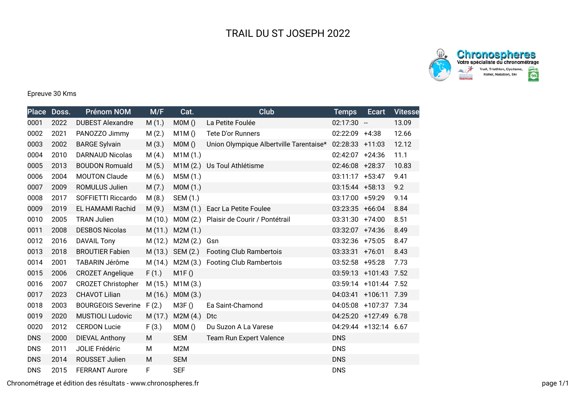



## Epreuve 30 Kms

| <b>Place</b> | Doss. | <b>Prénom NOM</b>         | M/F    | Cat.             | <b>Club</b>                             | <b>Temps</b>      | Ecart                 | <b>Vitesse</b> |
|--------------|-------|---------------------------|--------|------------------|-----------------------------------------|-------------------|-----------------------|----------------|
| 0001         | 2022  | <b>DUBEST Alexandre</b>   | M(1.)  | MOM()            | La Petite Foulée                        | $02:17:30 -$      |                       | 13.09          |
| 0002         | 2021  | PANOZZO Jimmy             | M(2.)  | M1M()            | Tete D'or Runners                       | 02:22:09 +4:38    |                       | 12.66          |
| 0003         | 2002  | <b>BARGE Sylvain</b>      | M(3.)  | MOM()            | Union Olympique Albertville Tarentaise* | 02:28:33 +11:03   |                       | 12.12          |
| 0004         | 2010  | <b>DARNAUD Nicolas</b>    | M(4.)  | M1M (1.)         |                                         | 02:42:07 +24:36   |                       | 11.1           |
| 0005         | 2013  | <b>BOUDON Romuald</b>     | M(5.)  | M1M (2.)         | Us Toul Athlétisme                      | 02:46:08 +28:37   |                       | 10.83          |
| 0006         | 2004  | <b>MOUTON Claude</b>      | M(6.)  | M5M (1.)         |                                         | 03:11:17 +53:47   |                       | 9.41           |
| 0007         | 2009  | <b>ROMULUS Julien</b>     | M(7.)  | MOM(1.)          |                                         | $03:15:44$ +58:13 |                       | 9.2            |
| 0008         | 2017  | SOFFIETTI Riccardo        | M(8.)  | SEM (1.)         |                                         | 03:17:00 +59:29   |                       | 9.14           |
| 0009         | 2019  | EL HAMAMI Rachid          | M(9.)  | M3M (1.)         | Eacr La Petite Foulee                   | 03:23:35 +66:04   |                       | 8.84           |
| 0010         | 2005  | <b>TRAN Julien</b>        | M(10.) | M0M (2.)         | Plaisir de Courir / Pontétrail          | 03:31:30 +74:00   |                       | 8.51           |
| 0011         | 2008  | <b>DESBOS Nicolas</b>     | M(11.) | M2M(1.)          |                                         | 03:32:07 +74:36   |                       | 8.49           |
| 0012         | 2016  | <b>DAVAIL Tony</b>        | M(12.) | M2M (2.)         | Gsn                                     | 03:32:36 +75:05   |                       | 8.47           |
| 0013         | 2018  | <b>BROUTIER Fabien</b>    |        | M (13.) SEM (2.) | <b>Footing Club Rambertois</b>          | 03:33:31 +76:01   |                       | 8.43           |
| 0014         | 2001  | TABARIN Jérôme            | M(14.) | M2M (3.)         | <b>Footing Club Rambertois</b>          | 03:52:58 +95:28   |                       | 7.73           |
| 0015         | 2006  | <b>CROZET Angelique</b>   | F(1.)  | M1F()            |                                         | 03:59:13 +101:43  |                       | 7.52           |
| 0016         | 2007  | <b>CROZET Christopher</b> | M(15.) | M1M(3.)          |                                         | 03:59:14 +101:44  |                       | 7.52           |
| 0017         | 2023  | <b>CHAVOT Lilian</b>      | M(16.) | MOM(3.)          |                                         | 04:03:41 +106:11  |                       | 7.39           |
| 0018         | 2003  | <b>BOURGEOIS Severine</b> | F(2.)  | M3F()            | Ea Saint-Chamond                        | 04:05:08 +107:37  |                       | 7.34           |
| 0019         | 2020  | <b>MUSTIOLI Ludovic</b>   | M(17.) | M2M(4.)          | D <sub>tc</sub>                         |                   | 04:25:20 +127:49 6.78 |                |
| 0020         | 2012  | <b>CERDON Lucie</b>       | F(3.)  | MOM()            | Du Suzon A La Varese                    |                   | 04:29:44 +132:14 6.67 |                |
| <b>DNS</b>   | 2000  | <b>DIEVAL Anthony</b>     | M      | <b>SEM</b>       | Team Run Expert Valence                 | <b>DNS</b>        |                       |                |
| <b>DNS</b>   | 2011  | JOLIE Frédéric            | М      | M2M              |                                         | <b>DNS</b>        |                       |                |
| <b>DNS</b>   | 2014  | ROUSSET Julien            | M      | <b>SEM</b>       |                                         | <b>DNS</b>        |                       |                |
| <b>DNS</b>   | 2015  | <b>FERRANT Aurore</b>     | F      | <b>SEF</b>       |                                         | <b>DNS</b>        |                       |                |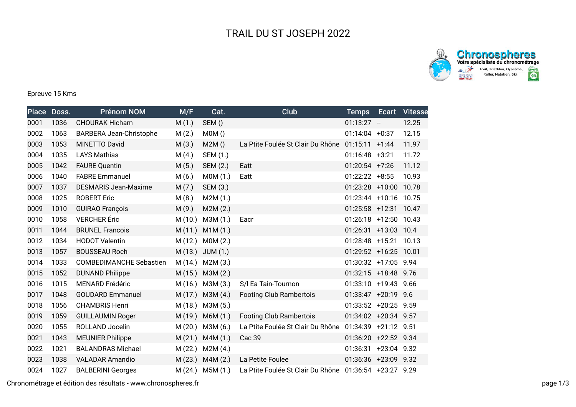

**Chronospheres**<br>Votre spécialiste du chronométrage  $\rightarrow$ Trail, Triathlon, Cyclisme,<br>Roller, Natation, Ski  $rac{1}{\left(\frac{1}{2}\right)^{1/2}}$ 

## Epreuve 15 Kms

| <b>Place</b> | Doss. | <b>Prénom NOM</b>              | M/F     | Cat.             | <b>Club</b>                                            | <b>Temps</b>          | Ecart       | <b>Vitesse</b> |
|--------------|-------|--------------------------------|---------|------------------|--------------------------------------------------------|-----------------------|-------------|----------------|
| 0001         | 1036  | <b>CHOURAK Hicham</b>          | M(1.)   | SEM()            |                                                        | $01:13:27 -$          |             | 12.25          |
| 0002         | 1063  | <b>BARBERA Jean-Christophe</b> | M(2.)   | MOM()            |                                                        | $01:14:04 +0:37$      |             | 12.15          |
| 0003         | 1053  | <b>MINETTO David</b>           | M(3.)   | M2M()            | La Ptite Foulée St Clair Du Rhône                      | $01:15:11 + 1:44$     |             | 11.97          |
| 0004         | 1035  | <b>LAYS Mathias</b>            | M(4.)   | SEM (1.)         |                                                        | $01:16:48$ +3:21      |             | 11.72          |
| 0005         | 1042  | <b>FAURE Quentin</b>           | M(5.)   | SEM (2.)         | Eatt                                                   | $01:20:54$ +7:26      |             | 11.12          |
| 0006         | 1040  | <b>FABRE Emmanuel</b>          | M(6.)   | MOM(1.)          | Eatt                                                   | $01:22:22 + 8:55$     |             | 10.93          |
| 0007         | 1037  | <b>DESMARIS Jean-Maxime</b>    | M(7.)   | SEM (3.)         |                                                        | 01:23:28 +10:00       |             | 10.78          |
| 0008         | 1025  | <b>ROBERT Eric</b>             | M(8.)   | M2M(1.)          |                                                        | $01:23:44$ +10:16     |             | 10.75          |
| 0009         | 1010  | <b>GUIRAO François</b>         | M(9.)   | M2M(2.)          |                                                        | 01:25:58 +12:31 10.47 |             |                |
| 0010         | 1058  | <b>VERCHER</b> Éric            | M(10.)  | M3M (1.)         | Eacr                                                   | $01:26:18$ +12:50     |             | 10.43          |
| 0011         | 1044  | <b>BRUNEL Francois</b>         | M(11.)  | M1M(1.)          |                                                        | 01:26:31 +13:03 10.4  |             |                |
| 0012         | 1034  | <b>HODOT Valentin</b>          | M(12.)  | MOM(2.)          |                                                        | 01:28:48 +15:21       |             | 10.13          |
| 0013         | 1057  | <b>BOUSSEAU Roch</b>           | M(13.)  | JUM(1.)          |                                                        | 01:29:52 +16:25 10.01 |             |                |
| 0014         | 1033  | <b>COMBEDIMANCHE Sebastien</b> | M(14.)  | M2M (3.)         |                                                        | 01:30:32 +17:05 9.94  |             |                |
| 0015         | 1052  | <b>DUNAND Philippe</b>         |         | M (15.) M3M (2.) |                                                        | 01:32:15 +18:48 9.76  |             |                |
| 0016         | 1015  | <b>MENARD Frédéric</b>         |         | M (16.) M3M (3.) | S/I Ea Tain-Tournon                                    | 01:33:10 +19:43 9.66  |             |                |
| 0017         | 1048  | <b>GOUDARD Emmanuel</b>        | M(17.)  | M3M (4.)         | <b>Footing Club Rambertois</b>                         | 01:33:47 +20:19 9.6   |             |                |
| 0018         | 1056  | <b>CHAMBRIS Henri</b>          | M (18.) | M3M (5.)         |                                                        | 01:33:52 +20:25 9.59  |             |                |
| 0019         | 1059  | <b>GUILLAUMIN Roger</b>        | M (19.) | M6M (1.)         | <b>Footing Club Rambertois</b>                         | 01:34:02 +20:34 9.57  |             |                |
| 0020         | 1055  | ROLLAND Jocelin                | M(20.)  | M3M (6.)         | La Ptite Foulée St Clair Du Rhône                      | 01:34:39 +21:12 9.51  |             |                |
| 0021         | 1043  | <b>MEUNIER Philippe</b>        | M(21.)  | M4M(1.)          | Cac 39                                                 | 01:36:20 +22:52 9.34  |             |                |
| 0022         | 1021  | <b>BALANDRAS Michael</b>       | M (22.) | M2M(4.)          |                                                        | 01:36:31              | +23:04 9.32 |                |
| 0023         | 1038  | <b>VALADAR Amandio</b>         | M(23.)  | M4M (2.)         | La Petite Foulee                                       | 01:36:36 +23:09 9.32  |             |                |
| 0024         | 1027  | <b>BALBERINI Georges</b>       |         | M (24.) M5M (1.) | La Ptite Foulée St Clair Du Rhône 01:36:54 +23:27 9.29 |                       |             |                |

Chronométrage et édition des résultats - www.chronospheres.fr page 1/3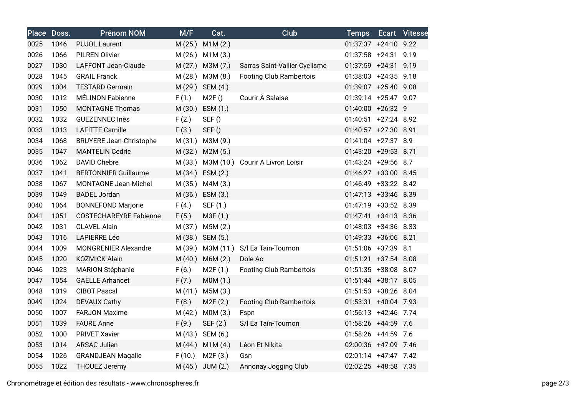| <b>Place</b> | Doss. | <b>Prénom NOM</b>              | M/F     | Cat.             | <b>Club</b>                      | <b>Temps</b>         | Ecart | <b>Vitesse</b> |
|--------------|-------|--------------------------------|---------|------------------|----------------------------------|----------------------|-------|----------------|
| 0025         | 1046  | <b>PUJOL Laurent</b>           | M(25.)  | M1M(2.)          |                                  | 01:37:37 +24:10 9.22 |       |                |
| 0026         | 1066  | <b>PILREN Olivier</b>          | M(26.)  | M1M(3.)          |                                  | 01:37:58 +24:31 9.19 |       |                |
| 0027         | 1030  | <b>LAFFONT Jean-Claude</b>     | M(27.)  | M3M (7.)         | Sarras Saint-Vallier Cyclisme    | 01:37:59 +24:31 9.19 |       |                |
| 0028         | 1045  | <b>GRAIL Franck</b>            | M(28.)  | M3M (8.)         | <b>Footing Club Rambertois</b>   | 01:38:03 +24:35 9.18 |       |                |
| 0029         | 1004  | <b>TESTARD Germain</b>         | M(29.)  | SEM (4.)         |                                  | 01:39:07 +25:40 9.08 |       |                |
| 0030         | 1012  | <b>MÉLINON Fabienne</b>        | F(1.)   | M2F()            | Courir À Salaise                 | 01:39:14 +25:47 9.07 |       |                |
| 0031         | 1050  | <b>MONTAGNE Thomas</b>         | M(30.)  | ESM (1.)         |                                  | 01:40:00 +26:32 9    |       |                |
| 0032         | 1032  | <b>GUEZENNEC Inès</b>          | F(2.)   | SEF()            |                                  | 01:40:51 +27:24 8.92 |       |                |
| 0033         | 1013  | <b>LAFITTE Camille</b>         | F(3.)   | SEF()            |                                  | 01:40:57 +27:30 8.91 |       |                |
| 0034         | 1068  | <b>BRUYERE Jean-Christophe</b> | M(31.)  | M3M (9.)         |                                  | 01:41:04 +27:37 8.9  |       |                |
| 0035         | 1047  | <b>MANTELIN Cedric</b>         | M (32.) | M2M (5.)         |                                  | 01:43:20 +29:53 8.71 |       |                |
| 0036         | 1062  | <b>DAVID Chebre</b>            | M (33.) |                  | M3M (10.) Courir A Livron Loisir | 01:43:24 +29:56 8.7  |       |                |
| 0037         | 1041  | <b>BERTONNIER Guillaume</b>    | M (34.) | ESM(2.)          |                                  | 01:46:27 +33:00 8.45 |       |                |
| 0038         | 1067  | <b>MONTAGNE Jean-Michel</b>    | M (35.) | M4M(3.)          |                                  | 01:46:49 +33:22 8.42 |       |                |
| 0039         | 1049  | <b>BADEL Jordan</b>            |         | M (36.) ESM (3.) |                                  | 01:47:13 +33:46 8.39 |       |                |
| 0040         | 1064  | <b>BONNEFOND Marjorie</b>      | F(4.)   | SEF (1.)         |                                  | 01:47:19 +33:52 8.39 |       |                |
| 0041         | 1051  | <b>COSTECHAREYRE Fabienne</b>  | F(5.)   | M3F (1.)         |                                  | 01:47:41 +34:13 8.36 |       |                |
| 0042         | 1031  | <b>CLAVEL Alain</b>            | M (37.) | M5M(2.)          |                                  | 01:48:03 +34:36 8.33 |       |                |
| 0043         | 1016  | <b>LAPIERRE Léo</b>            | M (38.) | SEM (5.)         |                                  | 01:49:33 +36:06 8.21 |       |                |
| 0044         | 1009  | <b>MONGRENIER Alexandre</b>    | M (39.) | M3M (11.)        | S/I Ea Tain-Tournon              | 01:51:06 +37:39 8.1  |       |                |
| 0045         | 1020  | <b>KOZMICK Alain</b>           | M(40.)  | M6M (2.)         | Dole Ac                          | 01:51:21 +37:54 8.08 |       |                |
| 0046         | 1023  | <b>MARION Stéphanie</b>        | F(6.)   | M2F(1.)          | <b>Footing Club Rambertois</b>   | 01:51:35 +38:08 8.07 |       |                |
| 0047         | 1054  | <b>GAËLLE Arhancet</b>         | F(7.)   | MOM(1.)          |                                  | 01:51:44 +38:17 8.05 |       |                |
| 0048         | 1019  | <b>CIBOT Pascal</b>            | M(41.)  | M5M(3.)          |                                  | 01:51:53 +38:26 8.04 |       |                |
| 0049         | 1024  | <b>DEVAUX Cathy</b>            | F(8.)   | M2F(2.)          | <b>Footing Club Rambertois</b>   | 01:53:31 +40:04 7.93 |       |                |
| 0050         | 1007  | <b>FARJON Maxime</b>           | M(42.)  | MOM(3.)          | Fspn                             | 01:56:13 +42:46 7.74 |       |                |
| 0051         | 1039  | <b>FAURE Anne</b>              | F(9.)   | SEF (2.)         | S/I Ea Tain-Tournon              | 01:58:26 +44:59 7.6  |       |                |
| 0052         | 1000  | <b>PRIVET Xavier</b>           | M(43.)  | SEM (6.)         |                                  | 01:58:26 +44:59 7.6  |       |                |
| 0053         | 1014  | <b>ARSAC Julien</b>            | M(44.)  | M1M(4.)          | Léon Et Nikita                   | 02:00:36 +47:09 7.46 |       |                |
| 0054         | 1026  | <b>GRANDJEAN Magalie</b>       | F(10.)  | M2F(3.)          | Gsn                              | 02:01:14 +47:47 7.42 |       |                |
| 0055         | 1022  | <b>THOUEZ Jeremy</b>           | M(45.)  | JUM(2.)          | Annonay Jogging Club             | 02:02:25 +48:58 7.35 |       |                |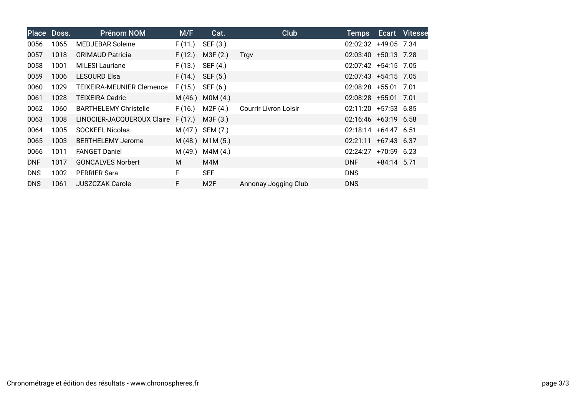|            | Place Doss. | <b>Prénom NOM</b>            | M/F     | Cat.             | Club                         | <b>Temps</b>            |               | <b>Ecart</b> Vitesse |
|------------|-------------|------------------------------|---------|------------------|------------------------------|-------------------------|---------------|----------------------|
| 0056       | 1065        | <b>MEDJEBAR Soleine</b>      | F(11.)  | SEF (3.)         |                              | 02:02:32 +49:05 7.34    |               |                      |
| 0057       | 1018        | <b>GRIMAUD Patricia</b>      | F(12.)  | M3F (2.)         | Trgv                         | 02:03:40 +50:13 7.28    |               |                      |
| 0058       | 1001        | <b>MILESI Lauriane</b>       | F(13.)  | SEF (4.)         |                              | 02:07:42 +54:15 7.05    |               |                      |
| 0059       | 1006        | <b>LESOURD Elsa</b>          | F(14.)  | SEF (5.)         |                              | 02:07:43 +54:15 7.05    |               |                      |
| 0060       | 1029        | TEIXEIRA-MEUNIER Clemence    | F(15.)  | SEF (6.)         |                              | 02:08:28 +55:01 7.01    |               |                      |
| 0061       | 1028        | <b>TEIXEIRA Cedric</b>       | M(46.)  | MOM(4.)          |                              | 02:08:28 +55:01 7.01    |               |                      |
| 0062       | 1060        | <b>BARTHELEMY Christelle</b> | F(16.)  | M2F (4.)         | <b>Courrir Livron Loisir</b> | $02:11:20 +57:53 6.85$  |               |                      |
| 0063       | 1008        | LINOCIER-JACQUEROUX Claire   | F(17.)  | M3F (3.)         |                              | 02:16:46 +63:19 6.58    |               |                      |
| 0064       | 1005        | <b>SOCKEEL Nicolas</b>       | M(47.)  | SEM (7.)         |                              | $02:18:14 + 64:47$ 6.51 |               |                      |
| 0065       | 1003        | <b>BERTHELEMY Jerome</b>     | M(48.)  | M1M(5.)          |                              | $02:21:11 + 67:43$ 6.37 |               |                      |
| 0066       | 1011        | <b>FANGET Daniel</b>         | M (49.) | M4M(4.)          |                              | 02:24:27                | $+70:59$ 6.23 |                      |
| <b>DNF</b> | 1017        | <b>GONCALVES Norbert</b>     | M       | M4M              |                              | <b>DNF</b>              | $+84:14$ 5.71 |                      |
| <b>DNS</b> | 1002        | <b>PERRIER Sara</b>          | F.      | <b>SEF</b>       |                              | <b>DNS</b>              |               |                      |
| <b>DNS</b> | 1061        | <b>JUSZCZAK Carole</b>       | F       | M <sub>2</sub> F | Annonay Jogging Club         | <b>DNS</b>              |               |                      |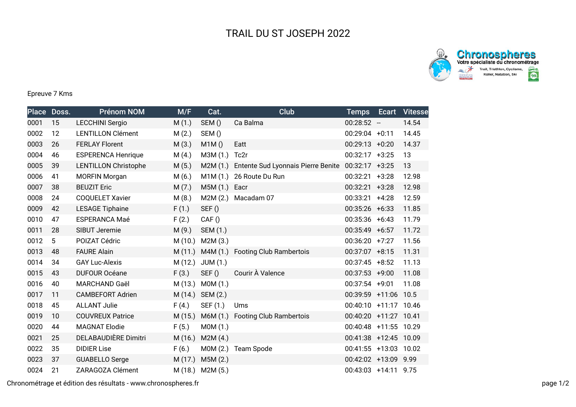

**Chronospheres**<br>Votre spécialiste du chronométrage  $rac{8}{2}$ Trail, Triathlon, Cyclisme,<br>Roller, Natation, Ski  $rac{1}{\left(\frac{1}{2}\right)^{1/2}}$ 

## Epreuve 7 Kms

|      | Place Doss. | <b>Prénom NOM</b>           | M/F     | Cat.     | <b>Club</b>                        | <b>Temps</b>          | Ecart                    | <b>Vitesse</b> |
|------|-------------|-----------------------------|---------|----------|------------------------------------|-----------------------|--------------------------|----------------|
| 0001 | 15          | <b>LECCHINI Sergio</b>      | M(1.)   | SEM()    | Ca Balma                           | 00:28:52              | $\overline{\phantom{a}}$ | 14.54          |
| 0002 | 12          | <b>LENTILLON Clément</b>    | M(2.)   | SEM()    |                                    | 00:29:04              | $+0:11$                  | 14.45          |
| 0003 | 26          | <b>FERLAY Florent</b>       | M(3.)   | M1M()    | Eatt                               | $00:29:13 + 0:20$     |                          | 14.37          |
| 0004 | 46          | <b>ESPERENCA Henrique</b>   | M(4.)   | M3M (1.) | Tc2r                               | $00:32:17 +3:25$      |                          | 13             |
| 0005 | 39          | <b>LENTILLON Christophe</b> | M(5.)   | M2M(1.)  | Entente Sud Lyonnais Pierre Benite | 00:32:17              | $+3:25$                  | 13             |
| 0006 | 41          | <b>MORFIN Morgan</b>        | M(6.)   | M1M(1.)  | 26 Route Du Run                    | 00:32:21              | $+3:28$                  | 12.98          |
| 0007 | 38          | <b>BEUZIT Eric</b>          | M(7.)   | M5M (1.) | Eacr                               | 00:32:21              | $+3:28$                  | 12.98          |
| 0008 | 24          | <b>COQUELET Xavier</b>      | M(8.)   | M2M(2.)  | Macadam 07                         | 00:33:21              | $+4:28$                  | 12.59          |
| 0009 | 42          | <b>LESAGE Tiphaine</b>      | F(1.)   | SEF()    |                                    | $00:35:26$ +6:33      |                          | 11.85          |
| 0010 | 47          | <b>ESPERANCA Maé</b>        | F(2.)   | CAF()    |                                    | $00:35:36$ +6:43      |                          | 11.79          |
| 0011 | 28          | SIBUT Jeremie               | M(9.)   | SEM (1.) |                                    | $00:35:49 + 6:57$     |                          | 11.72          |
| 0012 | 5           | POIZAT Cédric               | M(10.)  | M2M(3.)  |                                    | $00:36:20 +7:27$      |                          | 11.56          |
| 0013 | 48          | <b>FAURE Alain</b>          | M(11.)  | M4M (1.) | <b>Footing Club Rambertois</b>     | $00:37:07$ +8:15      |                          | 11.31          |
| 0014 | 34          | <b>GAY Luc-Alexis</b>       | M(12.)  | JUM(1.)  |                                    | $00:37:45 + 8:52$     |                          | 11.13          |
| 0015 | 43          | <b>DUFOUR Océane</b>        | F(3.)   | SEF()    | Courir À Valence                   | $00:37:53 +9:00$      |                          | 11.08          |
| 0016 | 40          | <b>MARCHAND Gaël</b>        | M(13.)  | MOM(1.)  |                                    | 00:37:54 +9:01        |                          | 11.08          |
| 0017 | 11          | <b>CAMBEFORT Adrien</b>     | M(14.)  | SEM (2.) |                                    | 00:39:59 +11:06       |                          | 10.5           |
| 0018 | 45          | <b>ALLANT Julie</b>         | F(4.)   | SEF (1.) | Ums                                | 00:40:10 +11:17 10.46 |                          |                |
| 0019 | 10          | <b>COUVREUX Patrice</b>     | M(15.)  | M6M (1.) | <b>Footing Club Rambertois</b>     | 00:40:20 +11:27       |                          | 10.41          |
| 0020 | 44          | <b>MAGNAT Elodie</b>        | F(5.)   | M0M (1.) |                                    | 00:40:48 +11:55 10.29 |                          |                |
| 0021 | 25          | DELABAUDIÈRE Dimitri        | M (16.) | M2M(4.)  |                                    | $00:41:38$ +12:45     |                          | 10.09          |
| 0022 | 35          | <b>DIDIER Lise</b>          | F(6.)   | MOM(2.)  | Team Spode                         | 00:41:55 +13:03 10.02 |                          |                |
| 0023 | 37          | <b>GUABELLO Serge</b>       | M (17.) | M5M (2.) |                                    | 00:42:02 +13:09       |                          | 9.99           |
| 0024 | 21          | ZARAGOZA Clément            | M (18.) | M2M (5.) |                                    | 00:43:03 +14:11 9.75  |                          |                |

Chronométrage et édition des résultats - www.chronospheres.fr page 1/2